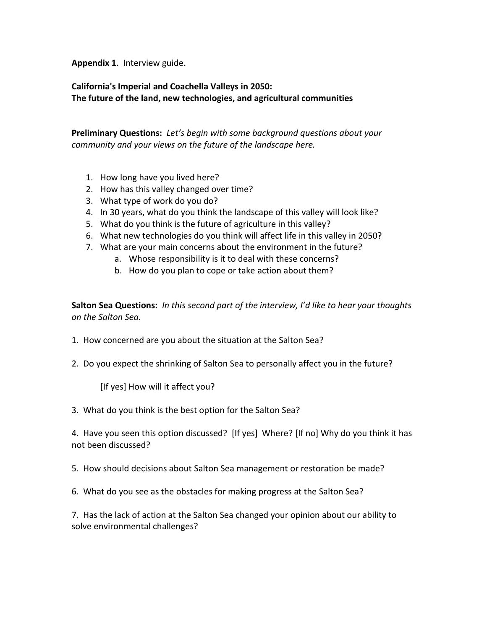**Appendix 1**. Interview guide.

**California's Imperial and Coachella Valleys in 2050: The future of the land, new technologies, and agricultural communities**

**Preliminary Questions:** *Let's begin with some background questions about your community and your views on the future of the landscape here.*

- 1. How long have you lived here?
- 2. How has this valley changed over time?
- 3. What type of work do you do?
- 4. In 30 years, what do you think the landscape of this valley will look like?
- 5. What do you think is the future of agriculture in this valley?
- 6. What new technologies do you think will affect life in this valley in 2050?
- 7. What are your main concerns about the environment in the future?
	- a. Whose responsibility is it to deal with these concerns?
	- b. How do you plan to cope or take action about them?

**Salton Sea Questions:** *In this second part of the interview, I'd like to hear your thoughts on the Salton Sea.*

- 1. How concerned are you about the situation at the Salton Sea?
- 2. Do you expect the shrinking of Salton Sea to personally affect you in the future?

[If yes] How will it affect you?

3. What do you think is the best option for the Salton Sea?

4. Have you seen this option discussed? [If yes] Where? [If no] Why do you think it has not been discussed?

5. How should decisions about Salton Sea management or restoration be made?

6. What do you see as the obstacles for making progress at the Salton Sea?

7. Has the lack of action at the Salton Sea changed your opinion about our ability to solve environmental challenges?